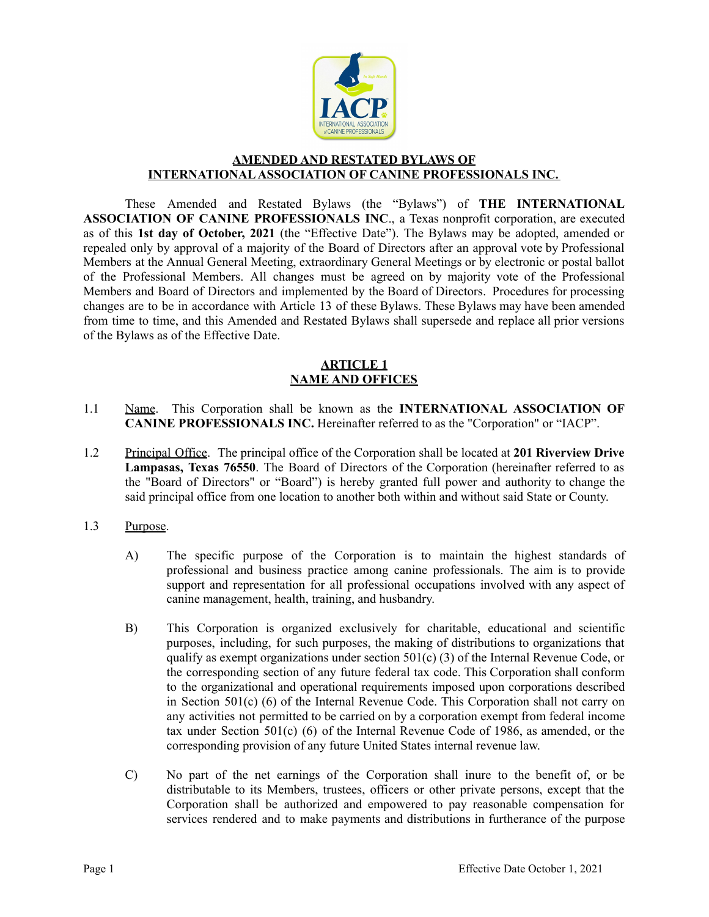

# **AMENDED AND RESTATED BYLAWS OF INTERNATIONALASSOCIATION OF CANINE PROFESSIONALS INC.**

These Amended and Restated Bylaws (the "Bylaws") of **THE INTERNATIONAL ASSOCIATION OF CANINE PROFESSIONALS INC**., a Texas nonprofit corporation, are executed as of this **1st day of October, 2021** (the "Effective Date"). The Bylaws may be adopted, amended or repealed only by approval of a majority of the Board of Directors after an approval vote by Professional Members at the Annual General Meeting, extraordinary General Meetings or by electronic or postal ballot of the Professional Members. All changes must be agreed on by majority vote of the Professional Members and Board of Directors and implemented by the Board of Directors. Procedures for processing changes are to be in accordance with Article 13 of these Bylaws. These Bylaws may have been amended from time to time, and this Amended and Restated Bylaws shall supersede and replace all prior versions of the Bylaws as of the Effective Date.

# **ARTICLE 1 NAME AND OFFICES**

- 1.1 Name. This Corporation shall be known as the **INTERNATIONAL ASSOCIATION OF CANINE PROFESSIONALS INC.** Hereinafter referred to as the "Corporation" or "IACP".
- 1.2 Principal Office. The principal office of the Corporation shall be located at **201 Riverview Drive Lampasas, Texas 76550**. The Board of Directors of the Corporation (hereinafter referred to as the "Board of Directors" or "Board") is hereby granted full power and authority to change the said principal office from one location to another both within and without said State or County.

#### 1.3 Purpose.

- A) The specific purpose of the Corporation is to maintain the highest standards of professional and business practice among canine professionals. The aim is to provide support and representation for all professional occupations involved with any aspect of canine management, health, training, and husbandry.
- B) This Corporation is organized exclusively for charitable, educational and scientific purposes, including, for such purposes, the making of distributions to organizations that qualify as exempt organizations under section  $501(c)$  (3) of the Internal Revenue Code, or the corresponding section of any future federal tax code. This Corporation shall conform to the organizational and operational requirements imposed upon corporations described in Section 501(c) (6) of the Internal Revenue Code. This Corporation shall not carry on any activities not permitted to be carried on by a corporation exempt from federal income tax under Section 501(c) (6) of the Internal Revenue Code of 1986, as amended, or the corresponding provision of any future United States internal revenue law.
- C) No part of the net earnings of the Corporation shall inure to the benefit of, or be distributable to its Members, trustees, officers or other private persons, except that the Corporation shall be authorized and empowered to pay reasonable compensation for services rendered and to make payments and distributions in furtherance of the purpose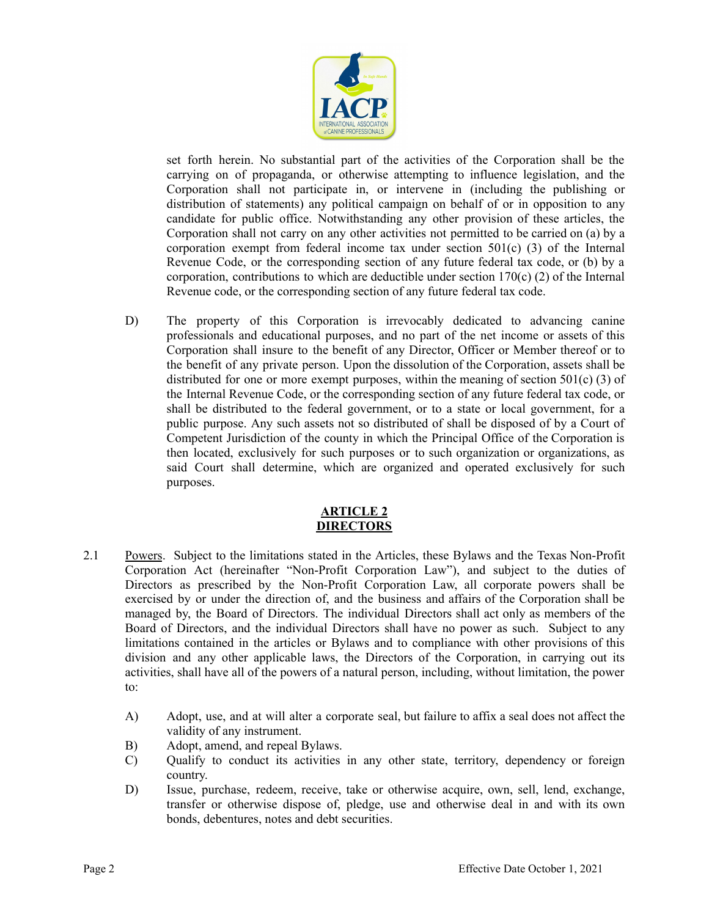

set forth herein. No substantial part of the activities of the Corporation shall be the carrying on of propaganda, or otherwise attempting to influence legislation, and the Corporation shall not participate in, or intervene in (including the publishing or distribution of statements) any political campaign on behalf of or in opposition to any candidate for public office. Notwithstanding any other provision of these articles, the Corporation shall not carry on any other activities not permitted to be carried on (a) by a corporation exempt from federal income tax under section  $501(c)$  (3) of the Internal Revenue Code, or the corresponding section of any future federal tax code, or (b) by a corporation, contributions to which are deductible under section  $170(c)$  (2) of the Internal Revenue code, or the corresponding section of any future federal tax code.

D) The property of this Corporation is irrevocably dedicated to advancing canine professionals and educational purposes, and no part of the net income or assets of this Corporation shall insure to the benefit of any Director, Officer or Member thereof or to the benefit of any private person. Upon the dissolution of the Corporation, assets shall be distributed for one or more exempt purposes, within the meaning of section  $501(c)$  (3) of the Internal Revenue Code, or the corresponding section of any future federal tax code, or shall be distributed to the federal government, or to a state or local government, for a public purpose. Any such assets not so distributed of shall be disposed of by a Court of Competent Jurisdiction of the county in which the Principal Office of the Corporation is then located, exclusively for such purposes or to such organization or organizations, as said Court shall determine, which are organized and operated exclusively for such purposes.

# **ARTICLE 2 DIRECTORS**

- 2.1 Powers. Subject to the limitations stated in the Articles, these Bylaws and the Texas Non-Profit Corporation Act (hereinafter "Non-Profit Corporation Law"), and subject to the duties of Directors as prescribed by the Non-Profit Corporation Law, all corporate powers shall be exercised by or under the direction of, and the business and affairs of the Corporation shall be managed by, the Board of Directors. The individual Directors shall act only as members of the Board of Directors, and the individual Directors shall have no power as such. Subject to any limitations contained in the articles or Bylaws and to compliance with other provisions of this division and any other applicable laws, the Directors of the Corporation, in carrying out its activities, shall have all of the powers of a natural person, including, without limitation, the power to:
	- A) Adopt, use, and at will alter a corporate seal, but failure to affix a seal does not affect the validity of any instrument.
	- B) Adopt, amend, and repeal Bylaws.
	- C) Qualify to conduct its activities in any other state, territory, dependency or foreign country.
	- D) Issue, purchase, redeem, receive, take or otherwise acquire, own, sell, lend, exchange, transfer or otherwise dispose of, pledge, use and otherwise deal in and with its own bonds, debentures, notes and debt securities.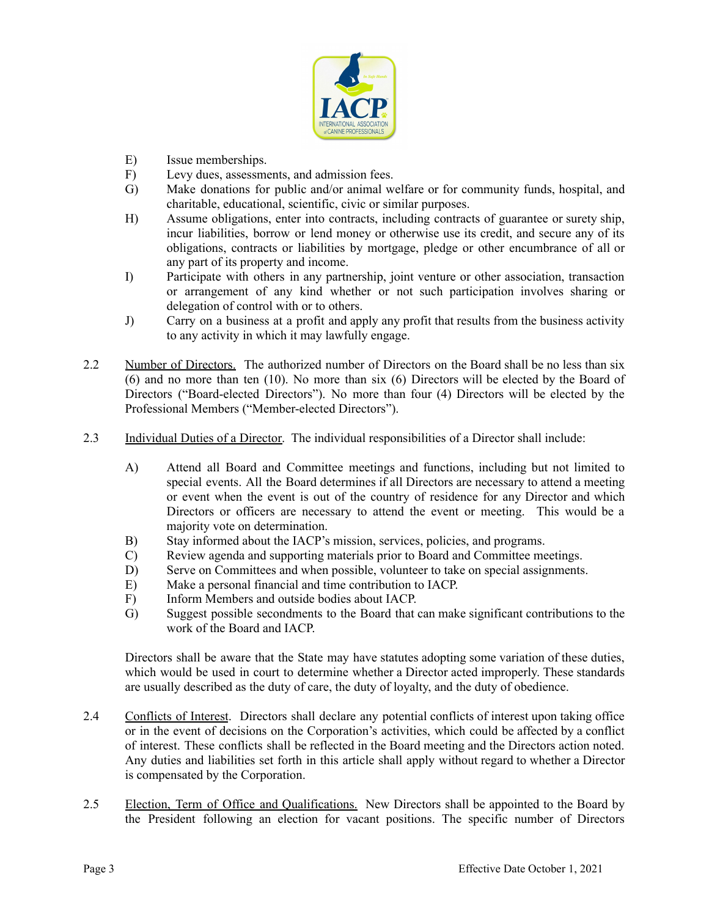

- E) Issue memberships.
- F) Levy dues, assessments, and admission fees.
- G) Make donations for public and/or animal welfare or for community funds, hospital, and charitable, educational, scientific, civic or similar purposes.
- H) Assume obligations, enter into contracts, including contracts of guarantee or surety ship, incur liabilities, borrow or lend money or otherwise use its credit, and secure any of its obligations, contracts or liabilities by mortgage, pledge or other encumbrance of all or any part of its property and income.
- I) Participate with others in any partnership, joint venture or other association, transaction or arrangement of any kind whether or not such participation involves sharing or delegation of control with or to others.
- J) Carry on a business at a profit and apply any profit that results from the business activity to any activity in which it may lawfully engage.
- 2.2 Number of Directors. The authorized number of Directors on the Board shall be no less than six (6) and no more than ten (10). No more than six (6) Directors will be elected by the Board of Directors ("Board-elected Directors"). No more than four (4) Directors will be elected by the Professional Members ("Member-elected Directors").
- 2.3 Individual Duties of a Director. The individual responsibilities of a Director shall include:
	- A) Attend all Board and Committee meetings and functions, including but not limited to special events. All the Board determines if all Directors are necessary to attend a meeting or event when the event is out of the country of residence for any Director and which Directors or officers are necessary to attend the event or meeting. This would be a majority vote on determination.
	- B) Stay informed about the IACP's mission, services, policies, and programs.
	- C) Review agenda and supporting materials prior to Board and Committee meetings.
	- D) Serve on Committees and when possible, volunteer to take on special assignments.
	- E) Make a personal financial and time contribution to IACP.
	- F) Inform Members and outside bodies about IACP.
	- G) Suggest possible secondments to the Board that can make significant contributions to the work of the Board and IACP.

Directors shall be aware that the State may have statutes adopting some variation of these duties, which would be used in court to determine whether a Director acted improperly. These standards are usually described as the duty of care, the duty of loyalty, and the duty of obedience.

- 2.4 Conflicts of Interest. Directors shall declare any potential conflicts of interest upon taking office or in the event of decisions on the Corporation's activities, which could be affected by a conflict of interest. These conflicts shall be reflected in the Board meeting and the Directors action noted. Any duties and liabilities set forth in this article shall apply without regard to whether a Director is compensated by the Corporation.
- 2.5 Election, Term of Office and Qualifications. New Directors shall be appointed to the Board by the President following an election for vacant positions. The specific number of Directors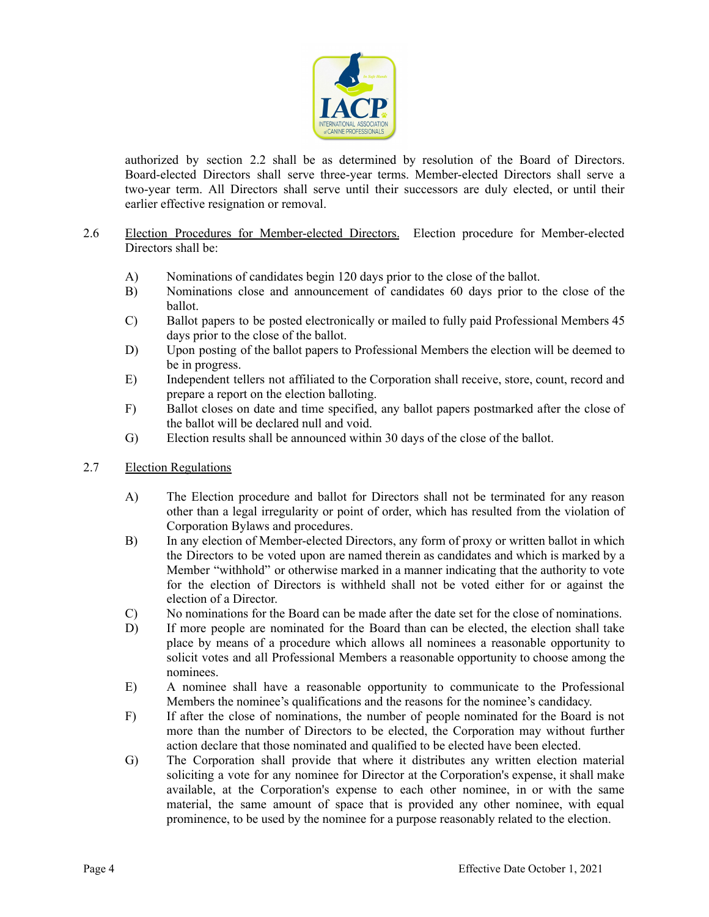

authorized by section 2.2 shall be as determined by resolution of the Board of Directors. Board-elected Directors shall serve three-year terms. Member-elected Directors shall serve a two-year term. All Directors shall serve until their successors are duly elected, or until their earlier effective resignation or removal.

# 2.6 Election Procedures for Member-elected Directors. Election procedure for Member-elected Directors shall be:

- A) Nominations of candidates begin 120 days prior to the close of the ballot.
- B) Nominations close and announcement of candidates 60 days prior to the close of the ballot.
- C) Ballot papers to be posted electronically or mailed to fully paid Professional Members 45 days prior to the close of the ballot.
- D) Upon posting of the ballot papers to Professional Members the election will be deemed to be in progress.
- E) Independent tellers not affiliated to the Corporation shall receive, store, count, record and prepare a report on the election balloting.
- F) Ballot closes on date and time specified, any ballot papers postmarked after the close of the ballot will be declared null and void.
- G) Election results shall be announced within 30 days of the close of the ballot.

# 2.7 Election Regulations

- A) The Election procedure and ballot for Directors shall not be terminated for any reason other than a legal irregularity or point of order, which has resulted from the violation of Corporation Bylaws and procedures.
- B) In any election of Member-elected Directors, any form of proxy or written ballot in which the Directors to be voted upon are named therein as candidates and which is marked by a Member "withhold" or otherwise marked in a manner indicating that the authority to vote for the election of Directors is withheld shall not be voted either for or against the election of a Director.
- C) No nominations for the Board can be made after the date set for the close of nominations.
- D) If more people are nominated for the Board than can be elected, the election shall take place by means of a procedure which allows all nominees a reasonable opportunity to solicit votes and all Professional Members a reasonable opportunity to choose among the nominees.
- E) A nominee shall have a reasonable opportunity to communicate to the Professional Members the nominee's qualifications and the reasons for the nominee's candidacy.
- F) If after the close of nominations, the number of people nominated for the Board is not more than the number of Directors to be elected, the Corporation may without further action declare that those nominated and qualified to be elected have been elected.
- G) The Corporation shall provide that where it distributes any written election material soliciting a vote for any nominee for Director at the Corporation's expense, it shall make available, at the Corporation's expense to each other nominee, in or with the same material, the same amount of space that is provided any other nominee, with equal prominence, to be used by the nominee for a purpose reasonably related to the election.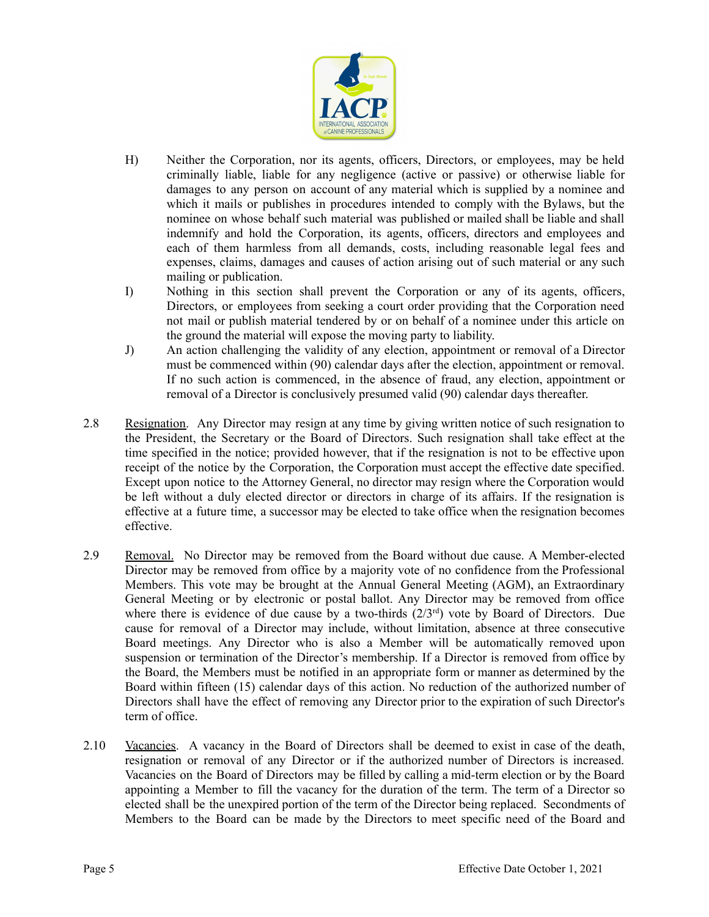

- H) Neither the Corporation, nor its agents, officers, Directors, or employees, may be held criminally liable, liable for any negligence (active or passive) or otherwise liable for damages to any person on account of any material which is supplied by a nominee and which it mails or publishes in procedures intended to comply with the Bylaws, but the nominee on whose behalf such material was published or mailed shall be liable and shall indemnify and hold the Corporation, its agents, officers, directors and employees and each of them harmless from all demands, costs, including reasonable legal fees and expenses, claims, damages and causes of action arising out of such material or any such mailing or publication.
- I) Nothing in this section shall prevent the Corporation or any of its agents, officers, Directors, or employees from seeking a court order providing that the Corporation need not mail or publish material tendered by or on behalf of a nominee under this article on the ground the material will expose the moving party to liability.
- J) An action challenging the validity of any election, appointment or removal of a Director must be commenced within (90) calendar days after the election, appointment or removal. If no such action is commenced, in the absence of fraud, any election, appointment or removal of a Director is conclusively presumed valid (90) calendar days thereafter.
- 2.8 Resignation. Any Director may resign at any time by giving written notice of such resignation to the President, the Secretary or the Board of Directors. Such resignation shall take effect at the time specified in the notice; provided however, that if the resignation is not to be effective upon receipt of the notice by the Corporation, the Corporation must accept the effective date specified. Except upon notice to the Attorney General, no director may resign where the Corporation would be left without a duly elected director or directors in charge of its affairs. If the resignation is effective at a future time, a successor may be elected to take office when the resignation becomes effective.
- 2.9 Removal. No Director may be removed from the Board without due cause. A Member-elected Director may be removed from office by a majority vote of no confidence from the Professional Members. This vote may be brought at the Annual General Meeting (AGM), an Extraordinary General Meeting or by electronic or postal ballot. Any Director may be removed from office where there is evidence of due cause by a two-thirds  $(2/3<sup>rd</sup>)$  vote by Board of Directors. Due cause for removal of a Director may include, without limitation, absence at three consecutive Board meetings. Any Director who is also a Member will be automatically removed upon suspension or termination of the Director's membership. If a Director is removed from office by the Board, the Members must be notified in an appropriate form or manner as determined by the Board within fifteen (15) calendar days of this action. No reduction of the authorized number of Directors shall have the effect of removing any Director prior to the expiration of such Director's term of office.
- 2.10 Vacancies. A vacancy in the Board of Directors shall be deemed to exist in case of the death, resignation or removal of any Director or if the authorized number of Directors is increased. Vacancies on the Board of Directors may be filled by calling a mid-term election or by the Board appointing a Member to fill the vacancy for the duration of the term. The term of a Director so elected shall be the unexpired portion of the term of the Director being replaced. Secondments of Members to the Board can be made by the Directors to meet specific need of the Board and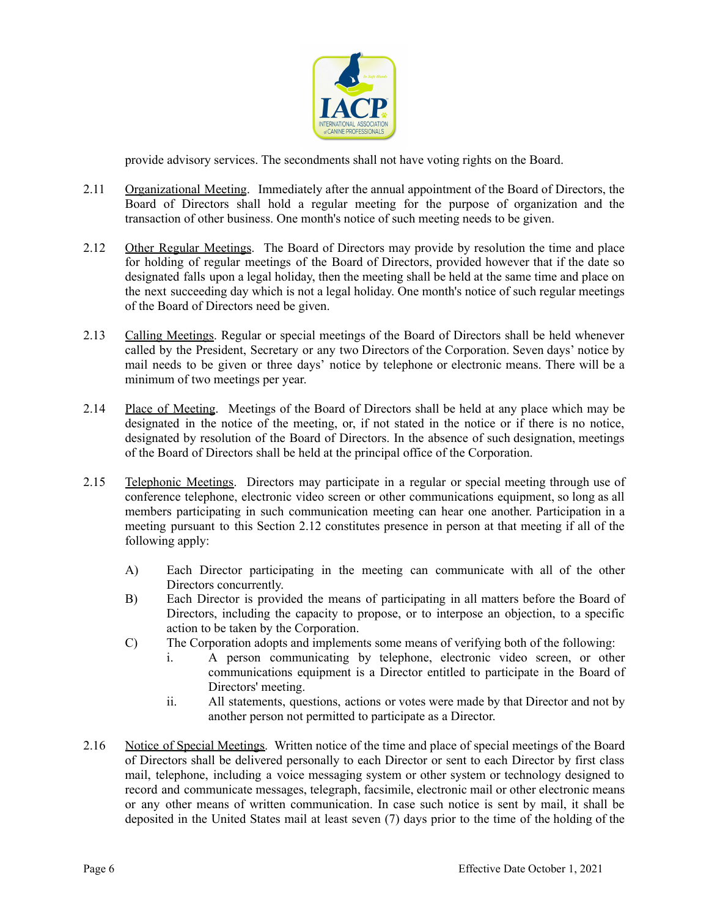

provide advisory services. The secondments shall not have voting rights on the Board.

- 2.11 Organizational Meeting. Immediately after the annual appointment of the Board of Directors, the Board of Directors shall hold a regular meeting for the purpose of organization and the transaction of other business. One month's notice of such meeting needs to be given.
- 2.12 Other Regular Meetings. The Board of Directors may provide by resolution the time and place for holding of regular meetings of the Board of Directors, provided however that if the date so designated falls upon a legal holiday, then the meeting shall be held at the same time and place on the next succeeding day which is not a legal holiday. One month's notice of such regular meetings of the Board of Directors need be given.
- 2.13 Calling Meetings. Regular or special meetings of the Board of Directors shall be held whenever called by the President, Secretary or any two Directors of the Corporation. Seven days' notice by mail needs to be given or three days' notice by telephone or electronic means. There will be a minimum of two meetings per year.
- 2.14 Place of Meeting. Meetings of the Board of Directors shall be held at any place which may be designated in the notice of the meeting, or, if not stated in the notice or if there is no notice, designated by resolution of the Board of Directors. In the absence of such designation, meetings of the Board of Directors shall be held at the principal office of the Corporation.
- 2.15 Telephonic Meetings. Directors may participate in a regular or special meeting through use of conference telephone, electronic video screen or other communications equipment, so long as all members participating in such communication meeting can hear one another. Participation in a meeting pursuant to this Section 2.12 constitutes presence in person at that meeting if all of the following apply:
	- A) Each Director participating in the meeting can communicate with all of the other Directors concurrently.
	- B) Each Director is provided the means of participating in all matters before the Board of Directors, including the capacity to propose, or to interpose an objection, to a specific action to be taken by the Corporation.
	- C) The Corporation adopts and implements some means of verifying both of the following:
		- i. A person communicating by telephone, electronic video screen, or other communications equipment is a Director entitled to participate in the Board of Directors' meeting.
		- ii. All statements, questions, actions or votes were made by that Director and not by another person not permitted to participate as a Director.
- 2.16 Notice of Special Meetings. Written notice of the time and place of special meetings of the Board of Directors shall be delivered personally to each Director or sent to each Director by first class mail, telephone, including a voice messaging system or other system or technology designed to record and communicate messages, telegraph, facsimile, electronic mail or other electronic means or any other means of written communication. In case such notice is sent by mail, it shall be deposited in the United States mail at least seven (7) days prior to the time of the holding of the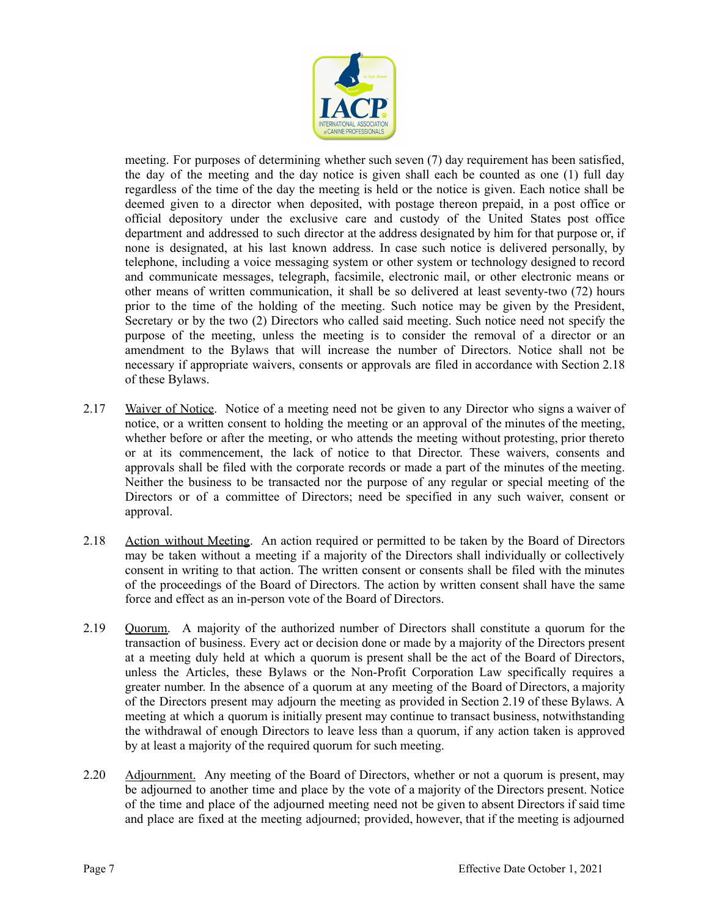

meeting. For purposes of determining whether such seven (7) day requirement has been satisfied, the day of the meeting and the day notice is given shall each be counted as one (1) full day regardless of the time of the day the meeting is held or the notice is given. Each notice shall be deemed given to a director when deposited, with postage thereon prepaid, in a post office or official depository under the exclusive care and custody of the United States post office department and addressed to such director at the address designated by him for that purpose or, if none is designated, at his last known address. In case such notice is delivered personally, by telephone, including a voice messaging system or other system or technology designed to record and communicate messages, telegraph, facsimile, electronic mail, or other electronic means or other means of written communication, it shall be so delivered at least seventy-two (72) hours prior to the time of the holding of the meeting. Such notice may be given by the President, Secretary or by the two (2) Directors who called said meeting. Such notice need not specify the purpose of the meeting, unless the meeting is to consider the removal of a director or an amendment to the Bylaws that will increase the number of Directors. Notice shall not be necessary if appropriate waivers, consents or approvals are filed in accordance with Section 2.18 of these Bylaws.

- 2.17 Waiver of Notice. Notice of a meeting need not be given to any Director who signs a waiver of notice, or a written consent to holding the meeting or an approval of the minutes of the meeting, whether before or after the meeting, or who attends the meeting without protesting, prior thereto or at its commencement, the lack of notice to that Director. These waivers, consents and approvals shall be filed with the corporate records or made a part of the minutes of the meeting. Neither the business to be transacted nor the purpose of any regular or special meeting of the Directors or of a committee of Directors; need be specified in any such waiver, consent or approval.
- 2.18 Action without Meeting. An action required or permitted to be taken by the Board of Directors may be taken without a meeting if a majority of the Directors shall individually or collectively consent in writing to that action. The written consent or consents shall be filed with the minutes of the proceedings of the Board of Directors. The action by written consent shall have the same force and effect as an in-person vote of the Board of Directors.
- 2.19 Quorum. A majority of the authorized number of Directors shall constitute a quorum for the transaction of business. Every act or decision done or made by a majority of the Directors present at a meeting duly held at which a quorum is present shall be the act of the Board of Directors, unless the Articles, these Bylaws or the Non-Profit Corporation Law specifically requires a greater number. In the absence of a quorum at any meeting of the Board of Directors, a majority of the Directors present may adjourn the meeting as provided in Section 2.19 of these Bylaws. A meeting at which a quorum is initially present may continue to transact business, notwithstanding the withdrawal of enough Directors to leave less than a quorum, if any action taken is approved by at least a majority of the required quorum for such meeting.
- 2.20 Adjournment. Any meeting of the Board of Directors, whether or not a quorum is present, may be adjourned to another time and place by the vote of a majority of the Directors present. Notice of the time and place of the adjourned meeting need not be given to absent Directors if said time and place are fixed at the meeting adjourned; provided, however, that if the meeting is adjourned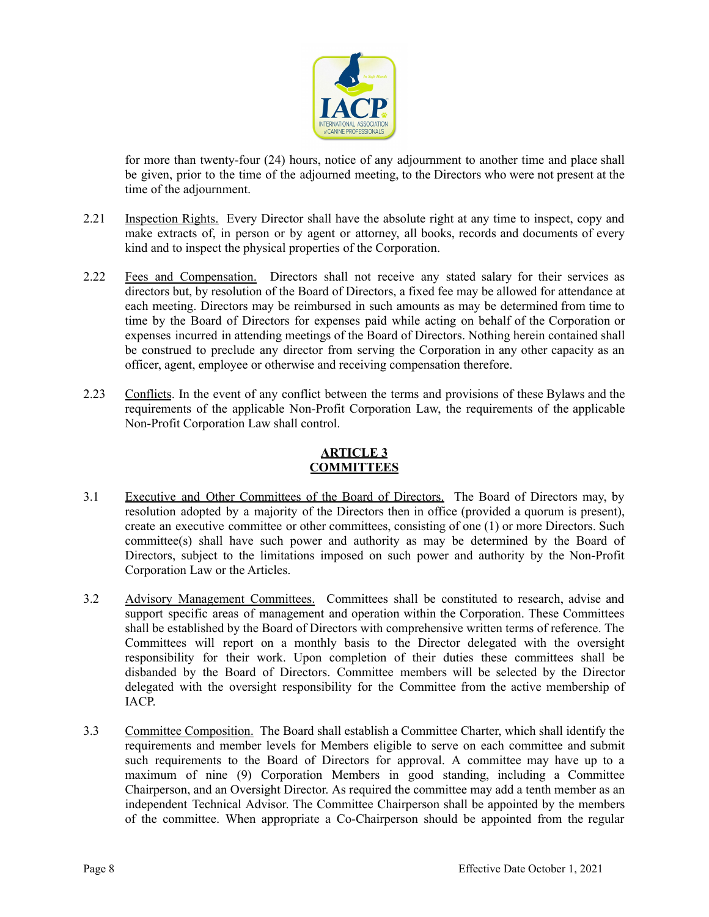

for more than twenty-four (24) hours, notice of any adjournment to another time and place shall be given, prior to the time of the adjourned meeting, to the Directors who were not present at the time of the adjournment.

- 2.21 Inspection Rights. Every Director shall have the absolute right at any time to inspect, copy and make extracts of, in person or by agent or attorney, all books, records and documents of every kind and to inspect the physical properties of the Corporation.
- 2.22 Fees and Compensation. Directors shall not receive any stated salary for their services as directors but, by resolution of the Board of Directors, a fixed fee may be allowed for attendance at each meeting. Directors may be reimbursed in such amounts as may be determined from time to time by the Board of Directors for expenses paid while acting on behalf of the Corporation or expenses incurred in attending meetings of the Board of Directors. Nothing herein contained shall be construed to preclude any director from serving the Corporation in any other capacity as an officer, agent, employee or otherwise and receiving compensation therefore.
- 2.23 Conflicts. In the event of any conflict between the terms and provisions of these Bylaws and the requirements of the applicable Non-Profit Corporation Law, the requirements of the applicable Non-Profit Corporation Law shall control.

# **ARTICLE 3 COMMITTEES**

- 3.1 Executive and Other Committees of the Board of Directors. The Board of Directors may, by resolution adopted by a majority of the Directors then in office (provided a quorum is present), create an executive committee or other committees, consisting of one (1) or more Directors. Such committee(s) shall have such power and authority as may be determined by the Board of Directors, subject to the limitations imposed on such power and authority by the Non-Profit Corporation Law or the Articles.
- 3.2 Advisory Management Committees. Committees shall be constituted to research, advise and support specific areas of management and operation within the Corporation. These Committees shall be established by the Board of Directors with comprehensive written terms of reference. The Committees will report on a monthly basis to the Director delegated with the oversight responsibility for their work. Upon completion of their duties these committees shall be disbanded by the Board of Directors. Committee members will be selected by the Director delegated with the oversight responsibility for the Committee from the active membership of IACP.
- 3.3 Committee Composition. The Board shall establish a Committee Charter, which shall identify the requirements and member levels for Members eligible to serve on each committee and submit such requirements to the Board of Directors for approval. A committee may have up to a maximum of nine (9) Corporation Members in good standing, including a Committee Chairperson, and an Oversight Director. As required the committee may add a tenth member as an independent Technical Advisor. The Committee Chairperson shall be appointed by the members of the committee. When appropriate a Co-Chairperson should be appointed from the regular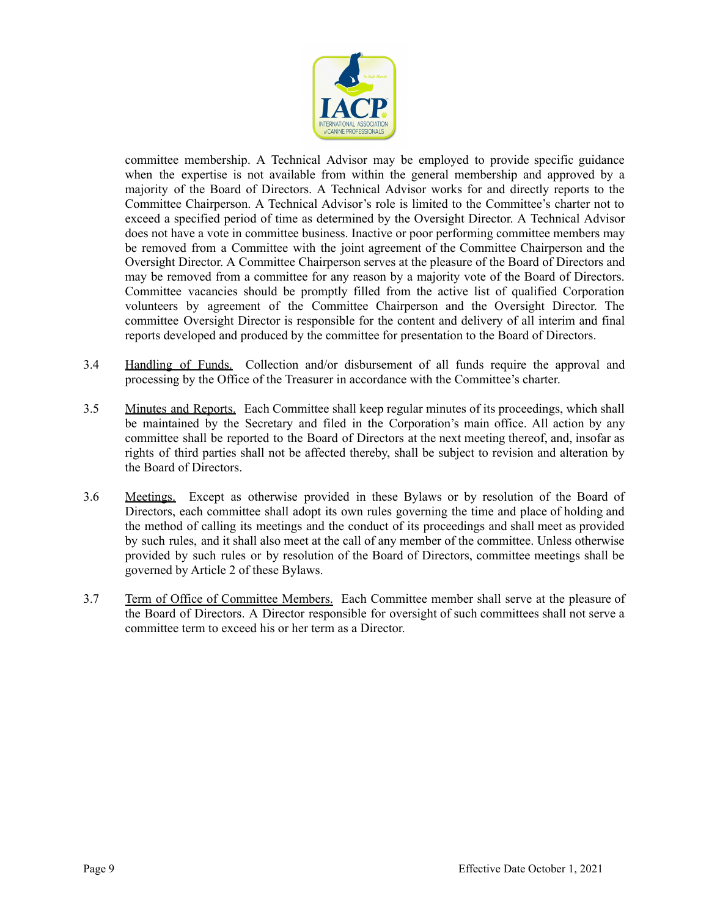

committee membership. A Technical Advisor may be employed to provide specific guidance when the expertise is not available from within the general membership and approved by a majority of the Board of Directors. A Technical Advisor works for and directly reports to the Committee Chairperson. A Technical Advisor's role is limited to the Committee's charter not to exceed a specified period of time as determined by the Oversight Director. A Technical Advisor does not have a vote in committee business. Inactive or poor performing committee members may be removed from a Committee with the joint agreement of the Committee Chairperson and the Oversight Director. A Committee Chairperson serves at the pleasure of the Board of Directors and may be removed from a committee for any reason by a majority vote of the Board of Directors. Committee vacancies should be promptly filled from the active list of qualified Corporation volunteers by agreement of the Committee Chairperson and the Oversight Director. The committee Oversight Director is responsible for the content and delivery of all interim and final reports developed and produced by the committee for presentation to the Board of Directors.

- 3.4 Handling of Funds. Collection and/or disbursement of all funds require the approval and processing by the Office of the Treasurer in accordance with the Committee's charter.
- 3.5 Minutes and Reports. Each Committee shall keep regular minutes of its proceedings, which shall be maintained by the Secretary and filed in the Corporation's main office. All action by any committee shall be reported to the Board of Directors at the next meeting thereof, and, insofar as rights of third parties shall not be affected thereby, shall be subject to revision and alteration by the Board of Directors.
- 3.6 Meetings. Except as otherwise provided in these Bylaws or by resolution of the Board of Directors, each committee shall adopt its own rules governing the time and place of holding and the method of calling its meetings and the conduct of its proceedings and shall meet as provided by such rules, and it shall also meet at the call of any member of the committee. Unless otherwise provided by such rules or by resolution of the Board of Directors, committee meetings shall be governed by Article 2 of these Bylaws.
- 3.7 Term of Office of Committee Members. Each Committee member shall serve at the pleasure of the Board of Directors. A Director responsible for oversight of such committees shall not serve a committee term to exceed his or her term as a Director.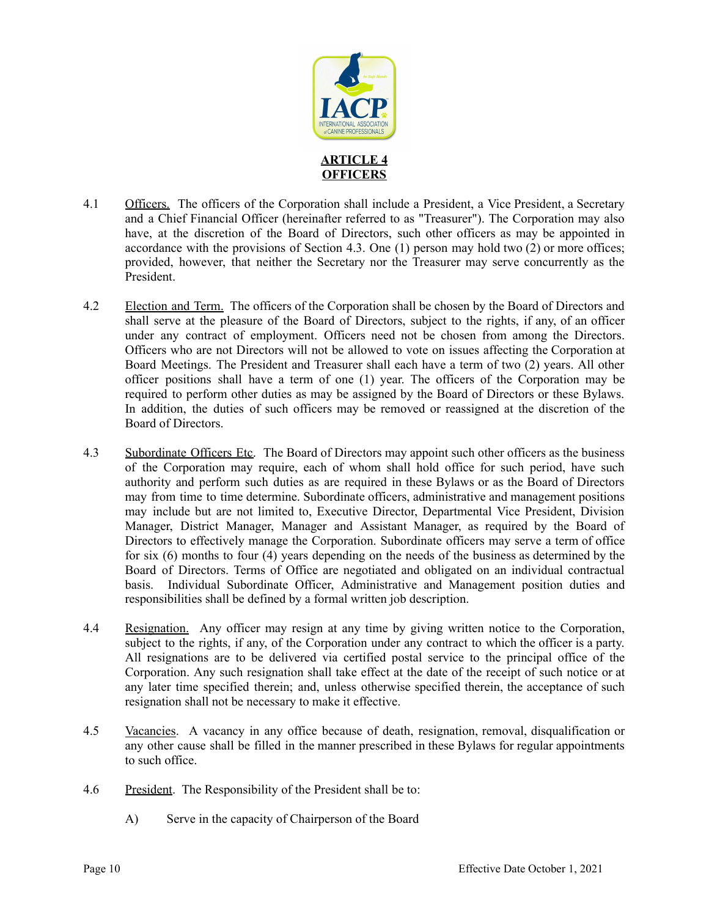

**ARTICLE 4 OFFICERS**

- 4.1 Officers. The officers of the Corporation shall include a President, a Vice President, a Secretary and a Chief Financial Officer (hereinafter referred to as "Treasurer"). The Corporation may also have, at the discretion of the Board of Directors, such other officers as may be appointed in accordance with the provisions of Section 4.3. One (1) person may hold two (2) or more offices; provided, however, that neither the Secretary nor the Treasurer may serve concurrently as the President.
- 4.2 Election and Term. The officers of the Corporation shall be chosen by the Board of Directors and shall serve at the pleasure of the Board of Directors, subject to the rights, if any, of an officer under any contract of employment. Officers need not be chosen from among the Directors. Officers who are not Directors will not be allowed to vote on issues affecting the Corporation at Board Meetings. The President and Treasurer shall each have a term of two (2) years. All other officer positions shall have a term of one (1) year. The officers of the Corporation may be required to perform other duties as may be assigned by the Board of Directors or these Bylaws. In addition, the duties of such officers may be removed or reassigned at the discretion of the Board of Directors.
- 4.3 Subordinate Officers Etc. The Board of Directors may appoint such other officers as the business of the Corporation may require, each of whom shall hold office for such period, have such authority and perform such duties as are required in these Bylaws or as the Board of Directors may from time to time determine. Subordinate officers, administrative and management positions may include but are not limited to, Executive Director, Departmental Vice President, Division Manager, District Manager, Manager and Assistant Manager, as required by the Board of Directors to effectively manage the Corporation. Subordinate officers may serve a term of office for six (6) months to four (4) years depending on the needs of the business as determined by the Board of Directors. Terms of Office are negotiated and obligated on an individual contractual basis. Individual Subordinate Officer, Administrative and Management position duties and responsibilities shall be defined by a formal written job description.
- 4.4 Resignation. Any officer may resign at any time by giving written notice to the Corporation, subject to the rights, if any, of the Corporation under any contract to which the officer is a party. All resignations are to be delivered via certified postal service to the principal office of the Corporation. Any such resignation shall take effect at the date of the receipt of such notice or at any later time specified therein; and, unless otherwise specified therein, the acceptance of such resignation shall not be necessary to make it effective.
- 4.5 Vacancies. A vacancy in any office because of death, resignation, removal, disqualification or any other cause shall be filled in the manner prescribed in these Bylaws for regular appointments to such office.
- 4.6 President. The Responsibility of the President shall be to:
	- A) Serve in the capacity of Chairperson of the Board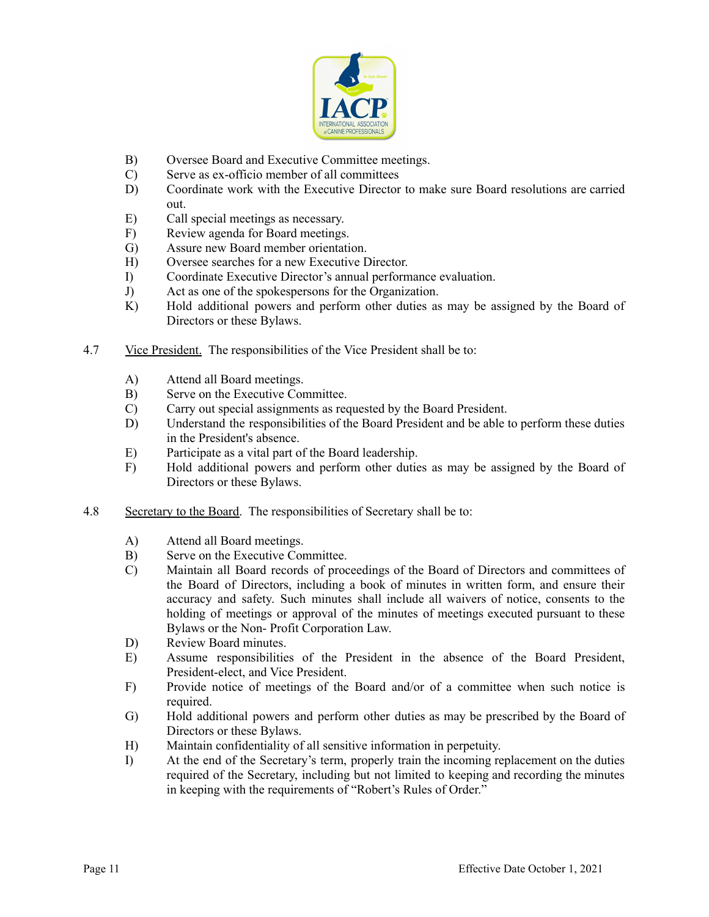

- B) Oversee Board and Executive Committee meetings.
- C) Serve as ex-officio member of all committees
- D) Coordinate work with the Executive Director to make sure Board resolutions are carried out.
- E) Call special meetings as necessary.
- F) Review agenda for Board meetings.
- G) Assure new Board member orientation.
- H) Oversee searches for a new Executive Director.
- I) Coordinate Executive Director's annual performance evaluation.
- J) Act as one of the spokespersons for the Organization.
- K) Hold additional powers and perform other duties as may be assigned by the Board of Directors or these Bylaws.
- 4.7 Vice President. The responsibilities of the Vice President shall be to:
	- A) Attend all Board meetings.
	- B) Serve on the Executive Committee.
	- C) Carry out special assignments as requested by the Board President.
	- D) Understand the responsibilities of the Board President and be able to perform these duties in the President's absence.
	- E) Participate as a vital part of the Board leadership.
	- F) Hold additional powers and perform other duties as may be assigned by the Board of Directors or these Bylaws.
- 4.8 Secretary to the Board. The responsibilities of Secretary shall be to:
	- A) Attend all Board meetings.
	- B) Serve on the Executive Committee.
	- C) Maintain all Board records of proceedings of the Board of Directors and committees of the Board of Directors, including a book of minutes in written form, and ensure their accuracy and safety. Such minutes shall include all waivers of notice, consents to the holding of meetings or approval of the minutes of meetings executed pursuant to these Bylaws or the Non- Profit Corporation Law.
	- D) Review Board minutes.
	- E) Assume responsibilities of the President in the absence of the Board President, President-elect, and Vice President.
	- F) Provide notice of meetings of the Board and/or of a committee when such notice is required.
	- G) Hold additional powers and perform other duties as may be prescribed by the Board of Directors or these Bylaws.
	- H) Maintain confidentiality of all sensitive information in perpetuity.
	- I) At the end of the Secretary's term, properly train the incoming replacement on the duties required of the Secretary, including but not limited to keeping and recording the minutes in keeping with the requirements of "Robert's Rules of Order."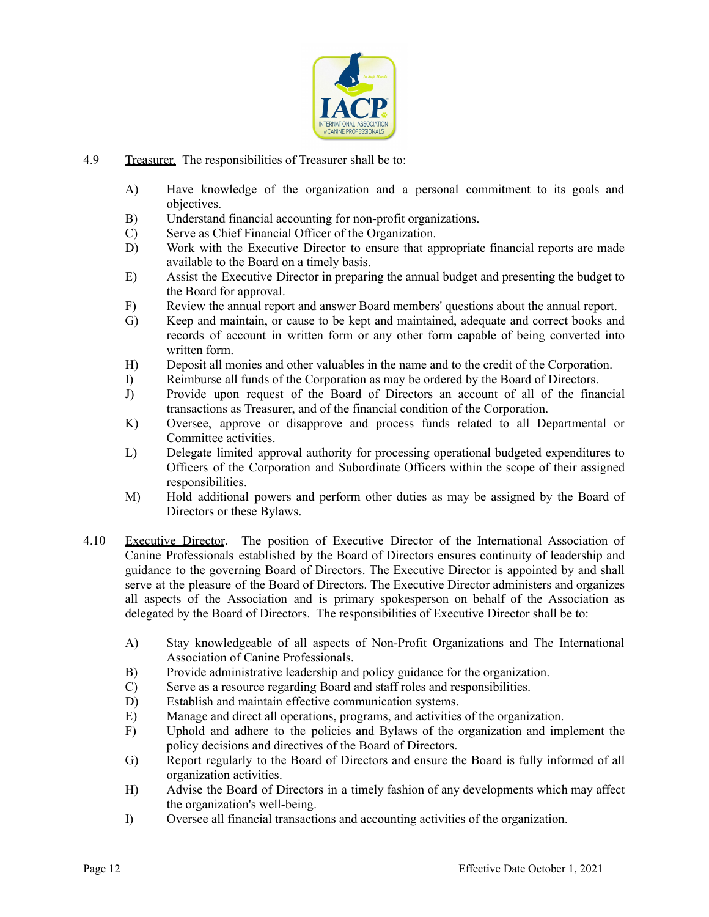

- 4.9 Treasurer. The responsibilities of Treasurer shall be to:
	- A) Have knowledge of the organization and a personal commitment to its goals and objectives.
	- B) Understand financial accounting for non-profit organizations.
	- C) Serve as Chief Financial Officer of the Organization.
	- D) Work with the Executive Director to ensure that appropriate financial reports are made available to the Board on a timely basis.
	- E) Assist the Executive Director in preparing the annual budget and presenting the budget to the Board for approval.
	- F) Review the annual report and answer Board members' questions about the annual report.
	- G) Keep and maintain, or cause to be kept and maintained, adequate and correct books and records of account in written form or any other form capable of being converted into written form.
	- H) Deposit all monies and other valuables in the name and to the credit of the Corporation.
	- I) Reimburse all funds of the Corporation as may be ordered by the Board of Directors.
	- J) Provide upon request of the Board of Directors an account of all of the financial transactions as Treasurer, and of the financial condition of the Corporation.
	- K) Oversee, approve or disapprove and process funds related to all Departmental or Committee activities.
	- L) Delegate limited approval authority for processing operational budgeted expenditures to Officers of the Corporation and Subordinate Officers within the scope of their assigned responsibilities.
	- M) Hold additional powers and perform other duties as may be assigned by the Board of Directors or these Bylaws.
- 4.10 Executive Director. The position of Executive Director of the International Association of Canine Professionals established by the Board of Directors ensures continuity of leadership and guidance to the governing Board of Directors. The Executive Director is appointed by and shall serve at the pleasure of the Board of Directors. The Executive Director administers and organizes all aspects of the Association and is primary spokesperson on behalf of the Association as delegated by the Board of Directors. The responsibilities of Executive Director shall be to:
	- A) Stay knowledgeable of all aspects of Non-Profit Organizations and The International Association of Canine Professionals.
	- B) Provide administrative leadership and policy guidance for the organization.
	- C) Serve as a resource regarding Board and staff roles and responsibilities.
	- D) Establish and maintain effective communication systems.
	- E) Manage and direct all operations, programs, and activities of the organization.
	- F) Uphold and adhere to the policies and Bylaws of the organization and implement the policy decisions and directives of the Board of Directors.
	- G) Report regularly to the Board of Directors and ensure the Board is fully informed of all organization activities.
	- H) Advise the Board of Directors in a timely fashion of any developments which may affect the organization's well-being.
	- I) Oversee all financial transactions and accounting activities of the organization.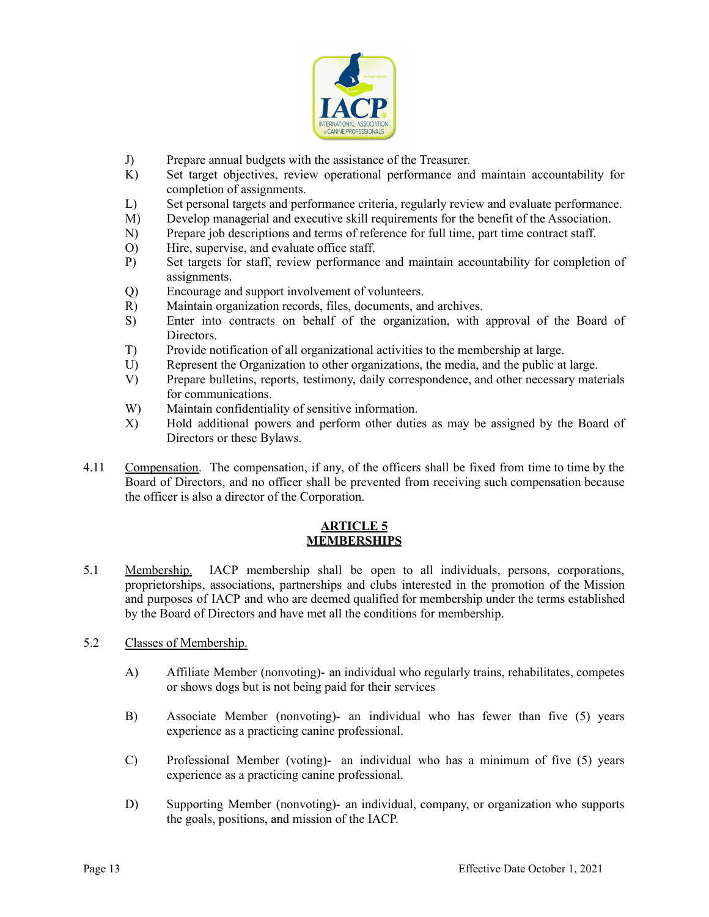

- J) Prepare annual budgets with the assistance of the Treasurer.
- K) Set target objectives, review operational performance and maintain accountability for completion of assignments.
- L) Set personal targets and performance criteria, regularly review and evaluate performance.
- M) Develop managerial and executive skill requirements for the benefit of the Association.
- N) Prepare job descriptions and terms of reference for full time, part time contract staff.
- O) Hire, supervise, and evaluate office staff.
- P) Set targets for staff, review performance and maintain accountability for completion of assignments.
- Q) Encourage and support involvement of volunteers.
- R) Maintain organization records, files, documents, and archives.
- S) Enter into contracts on behalf of the organization, with approval of the Board of Directors.
- T) Provide notification of all organizational activities to the membership at large.
- U) Represent the Organization to other organizations, the media, and the public at large.
- V) Prepare bulletins, reports, testimony, daily correspondence, and other necessary materials for communications.
- W) Maintain confidentiality of sensitive information.
- X) Hold additional powers and perform other duties as may be assigned by the Board of Directors or these Bylaws.
- 4.11 Compensation. The compensation, if any, of the officers shall be fixed from time to time by the Board of Directors, and no officer shall be prevented from receiving such compensation because the officer is also a director of the Corporation.

#### **ARTICLE 5 MEMBERSHIPS**

- 5.1 Membership. IACP membership shall be open to all individuals, persons, corporations, proprietorships, associations, partnerships and clubs interested in the promotion of the Mission and purposes of IACP and who are deemed qualified for membership under the terms established by the Board of Directors and have met all the conditions for membership.
- 5.2 Classes of Membership.
	- A) Affiliate Member (nonvoting)- an individual who regularly trains, rehabilitates, competes or shows dogs but is not being paid for their services
	- B) Associate Member (nonvoting)- an individual who has fewer than five (5) years experience as a practicing canine professional.
	- C) Professional Member (voting)- an individual who has a minimum of five (5) years experience as a practicing canine professional.
	- D) Supporting Member (nonvoting)- an individual, company, or organization who supports the goals, positions, and mission of the IACP.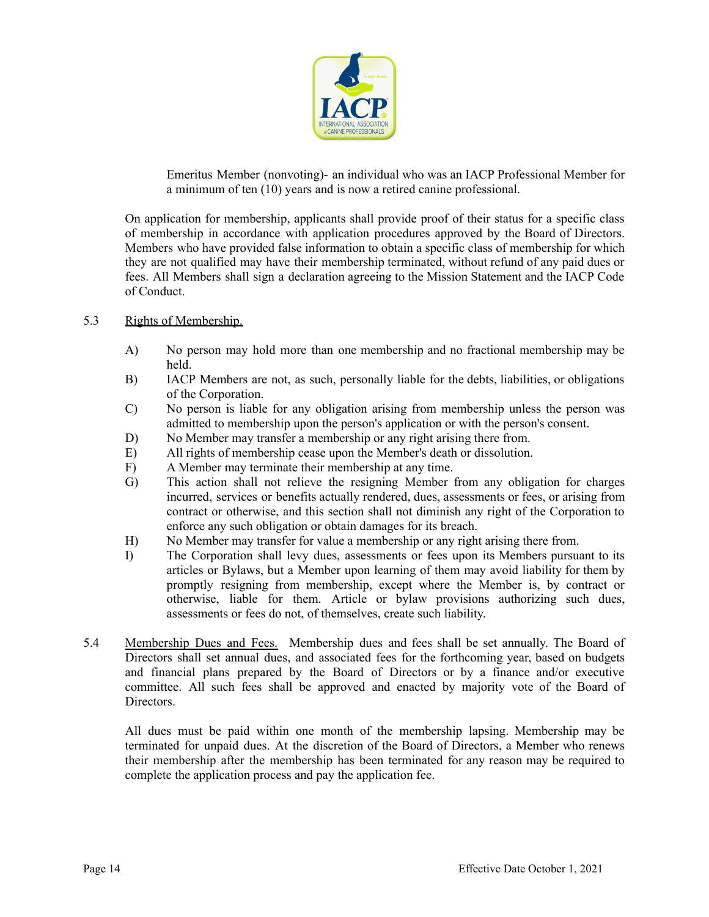

Emeritus Member (nonvoting)- an individual who was an IACP Professional Member for a minimum of ten (10) years and is now a retired canine professional.

On application for membership, applicants shall provide proof of their status for a specific class of membership in accordance with application procedures approved by the Board of Directors. Members who have provided false information to obtain a specific class of membership for which they are not qualified may have their membership terminated, without refund of any paid dues or fees. All Members shall sign a declaration agreeing to the Mission Statement and the IACP Code of Conduct.

# 5.3 Rights of Membership.

- A) No person may hold more than one membership and no fractional membership may be held.
- B) IACP Members are not, as such, personally liable for the debts, liabilities, or obligations of the Corporation.
- C) No person is liable for any obligation arising from membership unless the person was admitted to membership upon the person's application or with the person's consent.
- D) No Member may transfer a membership or any right arising there from.
- E) All rights of membership cease upon the Member's death or dissolution.
- F) A Member may terminate their membership at any time.
- G) This action shall not relieve the resigning Member from any obligation for charges incurred, services or benefits actually rendered, dues, assessments or fees, or arising from contract or otherwise, and this section shall not diminish any right of the Corporation to enforce any such obligation or obtain damages for its breach.
- H) No Member may transfer for value a membership or any right arising there from.
- I) The Corporation shall levy dues, assessments or fees upon its Members pursuant to its articles or Bylaws, but a Member upon learning of them may avoid liability for them by promptly resigning from membership, except where the Member is, by contract or otherwise, liable for them. Article or bylaw provisions authorizing such dues, assessments or fees do not, of themselves, create such liability.
- 5.4 Membership Dues and Fees. Membership dues and fees shall be set annually. The Board of Directors shall set annual dues, and associated fees for the forthcoming year, based on budgets and financial plans prepared by the Board of Directors or by a finance and/or executive committee. All such fees shall be approved and enacted by majority vote of the Board of Directors.

All dues must be paid within one month of the membership lapsing. Membership may be terminated for unpaid dues. At the discretion of the Board of Directors, a Member who renews their membership after the membership has been terminated for any reason may be required to complete the application process and pay the application fee.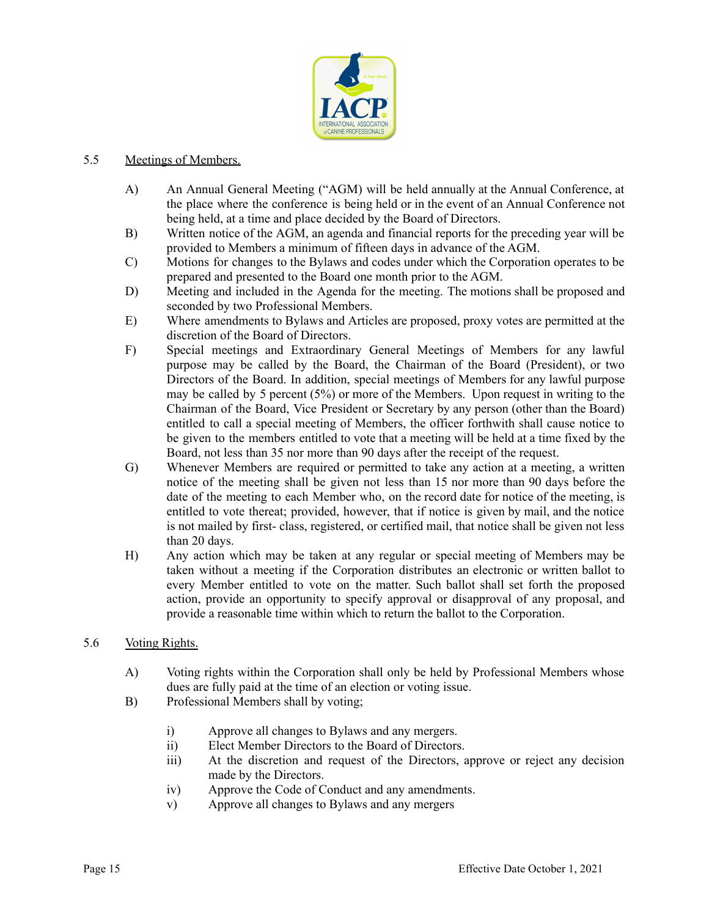

# 5.5 Meetings of Members.

- A) An Annual General Meeting ("AGM) will be held annually at the Annual Conference, at the place where the conference is being held or in the event of an Annual Conference not being held, at a time and place decided by the Board of Directors.
- B) Written notice of the AGM, an agenda and financial reports for the preceding year will be provided to Members a minimum of fifteen days in advance of the AGM.
- C) Motions for changes to the Bylaws and codes under which the Corporation operates to be prepared and presented to the Board one month prior to the AGM.
- D) Meeting and included in the Agenda for the meeting. The motions shall be proposed and seconded by two Professional Members.
- E) Where amendments to Bylaws and Articles are proposed, proxy votes are permitted at the discretion of the Board of Directors.
- F) Special meetings and Extraordinary General Meetings of Members for any lawful purpose may be called by the Board, the Chairman of the Board (President), or two Directors of the Board. In addition, special meetings of Members for any lawful purpose may be called by 5 percent (5%) or more of the Members. Upon request in writing to the Chairman of the Board, Vice President or Secretary by any person (other than the Board) entitled to call a special meeting of Members, the officer forthwith shall cause notice to be given to the members entitled to vote that a meeting will be held at a time fixed by the Board, not less than 35 nor more than 90 days after the receipt of the request.
- G) Whenever Members are required or permitted to take any action at a meeting, a written notice of the meeting shall be given not less than 15 nor more than 90 days before the date of the meeting to each Member who, on the record date for notice of the meeting, is entitled to vote thereat; provided, however, that if notice is given by mail, and the notice is not mailed by first- class, registered, or certified mail, that notice shall be given not less than 20 days.
- H) Any action which may be taken at any regular or special meeting of Members may be taken without a meeting if the Corporation distributes an electronic or written ballot to every Member entitled to vote on the matter. Such ballot shall set forth the proposed action, provide an opportunity to specify approval or disapproval of any proposal, and provide a reasonable time within which to return the ballot to the Corporation.
- 5.6 Voting Rights.
	- A) Voting rights within the Corporation shall only be held by Professional Members whose dues are fully paid at the time of an election or voting issue.
	- B) Professional Members shall by voting;
		- i) Approve all changes to Bylaws and any mergers.
		- ii) Elect Member Directors to the Board of Directors.
		- iii) At the discretion and request of the Directors, approve or reject any decision made by the Directors.
		- iv) Approve the Code of Conduct and any amendments.
		- v) Approve all changes to Bylaws and any mergers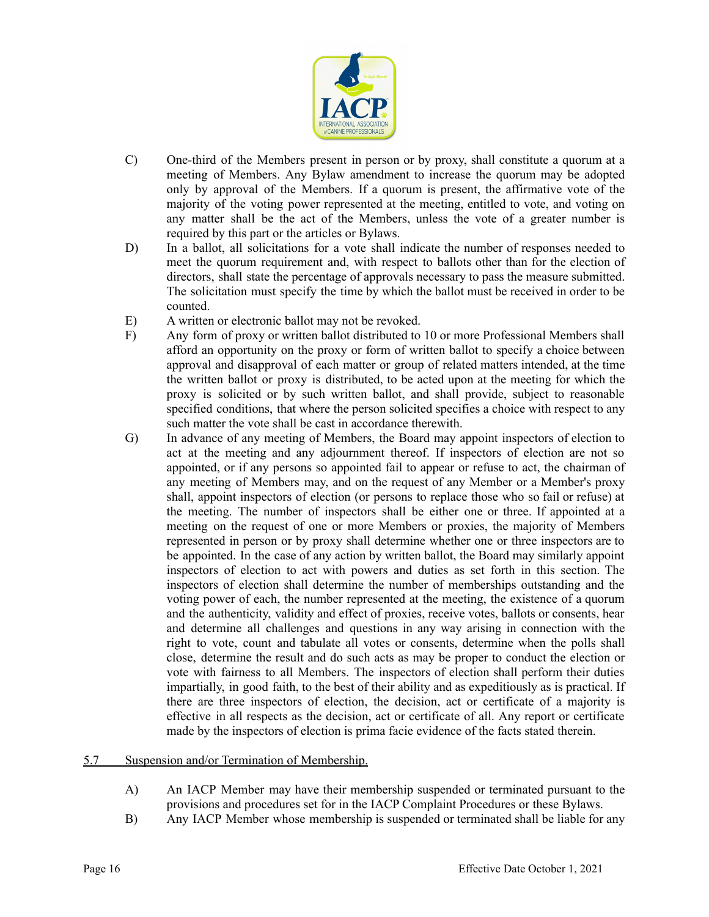

- C) One-third of the Members present in person or by proxy, shall constitute a quorum at a meeting of Members. Any Bylaw amendment to increase the quorum may be adopted only by approval of the Members. If a quorum is present, the affirmative vote of the majority of the voting power represented at the meeting, entitled to vote, and voting on any matter shall be the act of the Members, unless the vote of a greater number is required by this part or the articles or Bylaws.
- D) In a ballot, all solicitations for a vote shall indicate the number of responses needed to meet the quorum requirement and, with respect to ballots other than for the election of directors, shall state the percentage of approvals necessary to pass the measure submitted. The solicitation must specify the time by which the ballot must be received in order to be counted.
- E) A written or electronic ballot may not be revoked.
- F) Any form of proxy or written ballot distributed to 10 or more Professional Members shall afford an opportunity on the proxy or form of written ballot to specify a choice between approval and disapproval of each matter or group of related matters intended, at the time the written ballot or proxy is distributed, to be acted upon at the meeting for which the proxy is solicited or by such written ballot, and shall provide, subject to reasonable specified conditions, that where the person solicited specifies a choice with respect to any such matter the vote shall be cast in accordance therewith.
- G) In advance of any meeting of Members, the Board may appoint inspectors of election to act at the meeting and any adjournment thereof. If inspectors of election are not so appointed, or if any persons so appointed fail to appear or refuse to act, the chairman of any meeting of Members may, and on the request of any Member or a Member's proxy shall, appoint inspectors of election (or persons to replace those who so fail or refuse) at the meeting. The number of inspectors shall be either one or three. If appointed at a meeting on the request of one or more Members or proxies, the majority of Members represented in person or by proxy shall determine whether one or three inspectors are to be appointed. In the case of any action by written ballot, the Board may similarly appoint inspectors of election to act with powers and duties as set forth in this section. The inspectors of election shall determine the number of memberships outstanding and the voting power of each, the number represented at the meeting, the existence of a quorum and the authenticity, validity and effect of proxies, receive votes, ballots or consents, hear and determine all challenges and questions in any way arising in connection with the right to vote, count and tabulate all votes or consents, determine when the polls shall close, determine the result and do such acts as may be proper to conduct the election or vote with fairness to all Members. The inspectors of election shall perform their duties impartially, in good faith, to the best of their ability and as expeditiously as is practical. If there are three inspectors of election, the decision, act or certificate of a majority is effective in all respects as the decision, act or certificate of all. Any report or certificate made by the inspectors of election is prima facie evidence of the facts stated therein.

# 5.7 Suspension and/or Termination of Membership.

- A) An IACP Member may have their membership suspended or terminated pursuant to the provisions and procedures set for in the IACP Complaint Procedures or these Bylaws.
- B) Any IACP Member whose membership is suspended or terminated shall be liable for any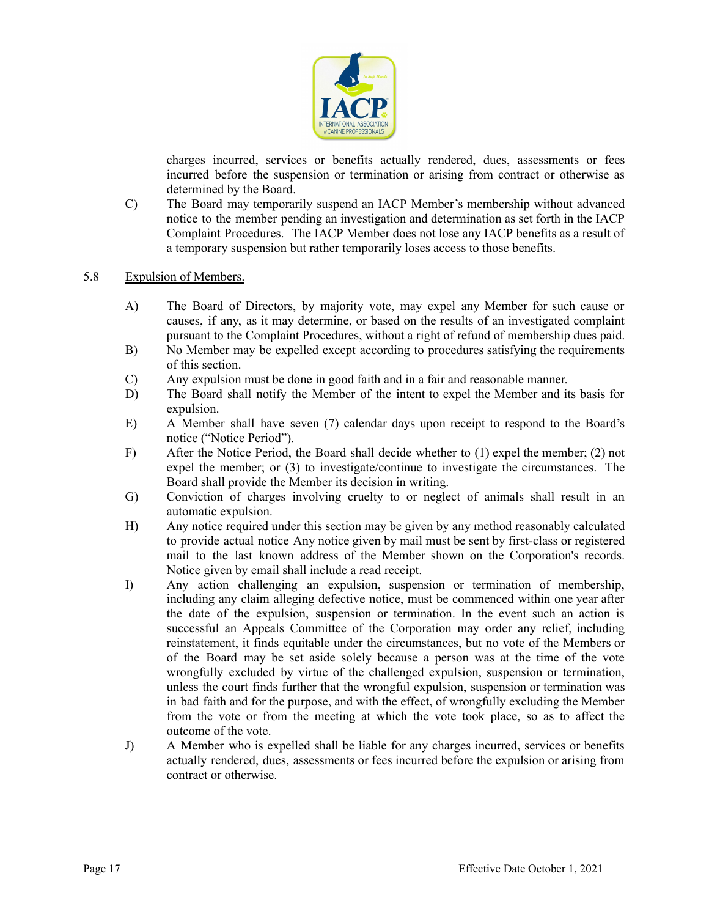

charges incurred, services or benefits actually rendered, dues, assessments or fees incurred before the suspension or termination or arising from contract or otherwise as determined by the Board.

C) The Board may temporarily suspend an IACP Member's membership without advanced notice to the member pending an investigation and determination as set forth in the IACP Complaint Procedures. The IACP Member does not lose any IACP benefits as a result of a temporary suspension but rather temporarily loses access to those benefits.

# 5.8 Expulsion of Members.

- A) The Board of Directors, by majority vote, may expel any Member for such cause or causes, if any, as it may determine, or based on the results of an investigated complaint pursuant to the Complaint Procedures, without a right of refund of membership dues paid.
- B) No Member may be expelled except according to procedures satisfying the requirements of this section.
- C) Any expulsion must be done in good faith and in a fair and reasonable manner.
- D) The Board shall notify the Member of the intent to expel the Member and its basis for expulsion.
- E) A Member shall have seven (7) calendar days upon receipt to respond to the Board's notice ("Notice Period").
- F) After the Notice Period, the Board shall decide whether to (1) expel the member; (2) not expel the member; or (3) to investigate/continue to investigate the circumstances. The Board shall provide the Member its decision in writing.
- G) Conviction of charges involving cruelty to or neglect of animals shall result in an automatic expulsion.
- H) Any notice required under this section may be given by any method reasonably calculated to provide actual notice Any notice given by mail must be sent by first-class or registered mail to the last known address of the Member shown on the Corporation's records. Notice given by email shall include a read receipt.
- I) Any action challenging an expulsion, suspension or termination of membership, including any claim alleging defective notice, must be commenced within one year after the date of the expulsion, suspension or termination. In the event such an action is successful an Appeals Committee of the Corporation may order any relief, including reinstatement, it finds equitable under the circumstances, but no vote of the Members or of the Board may be set aside solely because a person was at the time of the vote wrongfully excluded by virtue of the challenged expulsion, suspension or termination, unless the court finds further that the wrongful expulsion, suspension or termination was in bad faith and for the purpose, and with the effect, of wrongfully excluding the Member from the vote or from the meeting at which the vote took place, so as to affect the outcome of the vote.
- J) A Member who is expelled shall be liable for any charges incurred, services or benefits actually rendered, dues, assessments or fees incurred before the expulsion or arising from contract or otherwise.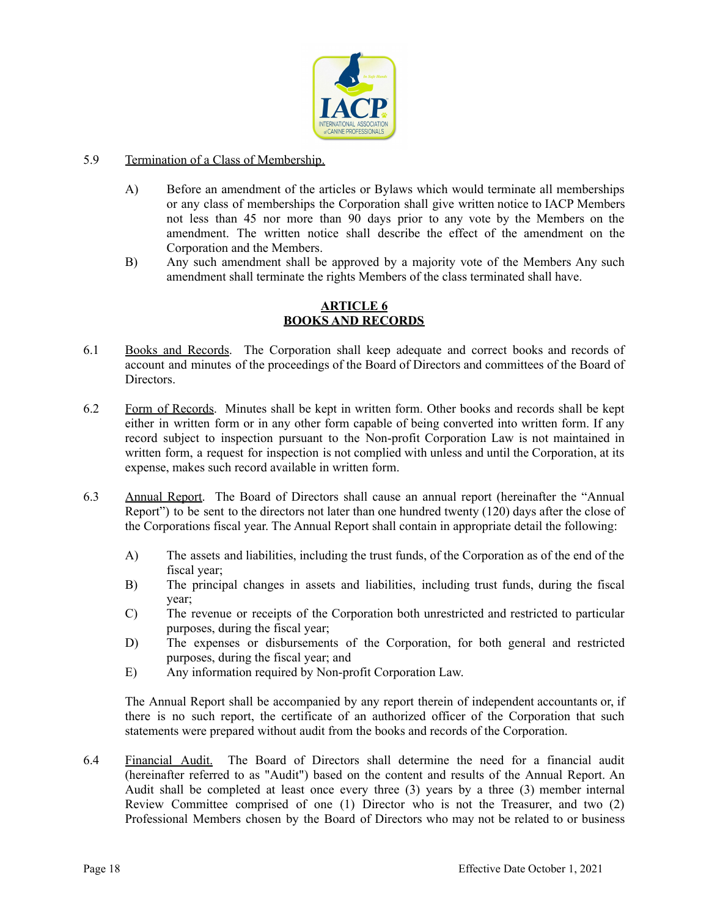

# 5.9 Termination of a Class of Membership.

- A) Before an amendment of the articles or Bylaws which would terminate all memberships or any class of memberships the Corporation shall give written notice to IACP Members not less than 45 nor more than 90 days prior to any vote by the Members on the amendment. The written notice shall describe the effect of the amendment on the Corporation and the Members.
- B) Any such amendment shall be approved by a majority vote of the Members Any such amendment shall terminate the rights Members of the class terminated shall have.

# **ARTICLE 6 BOOKS AND RECORDS**

- 6.1 Books and Records. The Corporation shall keep adequate and correct books and records of account and minutes of the proceedings of the Board of Directors and committees of the Board of **Directors**
- 6.2 Form of Records. Minutes shall be kept in written form. Other books and records shall be kept either in written form or in any other form capable of being converted into written form. If any record subject to inspection pursuant to the Non-profit Corporation Law is not maintained in written form, a request for inspection is not complied with unless and until the Corporation, at its expense, makes such record available in written form.
- 6.3 Annual Report. The Board of Directors shall cause an annual report (hereinafter the "Annual Report") to be sent to the directors not later than one hundred twenty (120) days after the close of the Corporations fiscal year. The Annual Report shall contain in appropriate detail the following:
	- A) The assets and liabilities, including the trust funds, of the Corporation as of the end of the fiscal year;
	- B) The principal changes in assets and liabilities, including trust funds, during the fiscal year;
	- C) The revenue or receipts of the Corporation both unrestricted and restricted to particular purposes, during the fiscal year;
	- D) The expenses or disbursements of the Corporation, for both general and restricted purposes, during the fiscal year; and
	- E) Any information required by Non-profit Corporation Law.

The Annual Report shall be accompanied by any report therein of independent accountants or, if there is no such report, the certificate of an authorized officer of the Corporation that such statements were prepared without audit from the books and records of the Corporation.

6.4 Financial Audit. The Board of Directors shall determine the need for a financial audit (hereinafter referred to as "Audit") based on the content and results of the Annual Report. An Audit shall be completed at least once every three (3) years by a three (3) member internal Review Committee comprised of one (1) Director who is not the Treasurer, and two (2) Professional Members chosen by the Board of Directors who may not be related to or business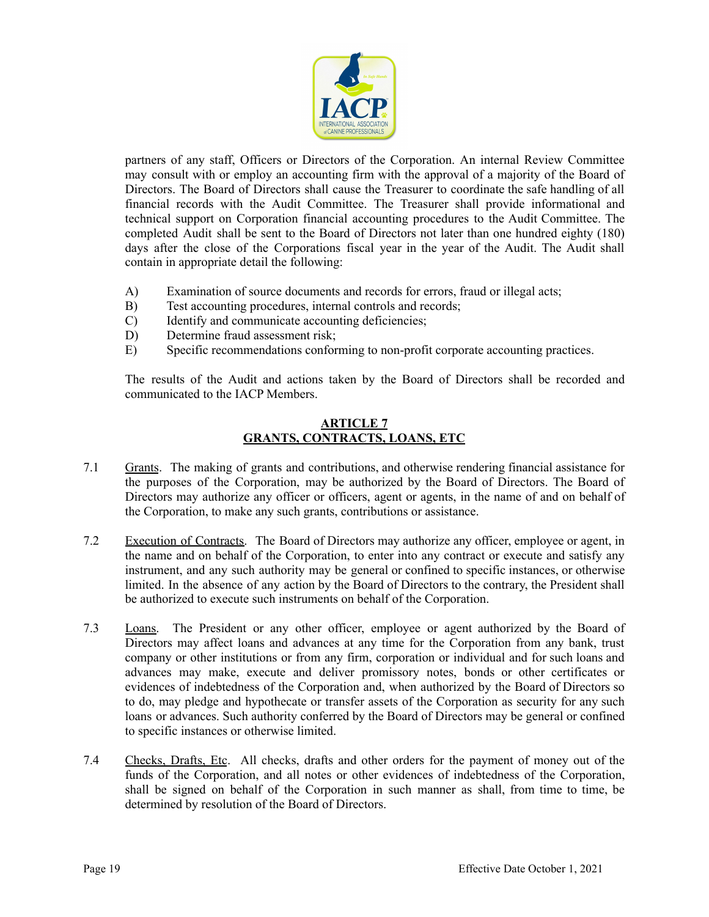

partners of any staff, Officers or Directors of the Corporation. An internal Review Committee may consult with or employ an accounting firm with the approval of a majority of the Board of Directors. The Board of Directors shall cause the Treasurer to coordinate the safe handling of all financial records with the Audit Committee. The Treasurer shall provide informational and technical support on Corporation financial accounting procedures to the Audit Committee. The completed Audit shall be sent to the Board of Directors not later than one hundred eighty (180) days after the close of the Corporations fiscal year in the year of the Audit. The Audit shall contain in appropriate detail the following:

- A) Examination of source documents and records for errors, fraud or illegal acts;
- B) Test accounting procedures, internal controls and records;
- C) Identify and communicate accounting deficiencies;
- D) Determine fraud assessment risk;
- E) Specific recommendations conforming to non-profit corporate accounting practices.

The results of the Audit and actions taken by the Board of Directors shall be recorded and communicated to the IACP Members.

# **ARTICLE 7 GRANTS, CONTRACTS, LOANS, ETC**

- 7.1 Grants. The making of grants and contributions, and otherwise rendering financial assistance for the purposes of the Corporation, may be authorized by the Board of Directors. The Board of Directors may authorize any officer or officers, agent or agents, in the name of and on behalf of the Corporation, to make any such grants, contributions or assistance.
- 7.2 Execution of Contracts. The Board of Directors may authorize any officer, employee or agent, in the name and on behalf of the Corporation, to enter into any contract or execute and satisfy any instrument, and any such authority may be general or confined to specific instances, or otherwise limited. In the absence of any action by the Board of Directors to the contrary, the President shall be authorized to execute such instruments on behalf of the Corporation.
- 7.3 Loans. The President or any other officer, employee or agent authorized by the Board of Directors may affect loans and advances at any time for the Corporation from any bank, trust company or other institutions or from any firm, corporation or individual and for such loans and advances may make, execute and deliver promissory notes, bonds or other certificates or evidences of indebtedness of the Corporation and, when authorized by the Board of Directors so to do, may pledge and hypothecate or transfer assets of the Corporation as security for any such loans or advances. Such authority conferred by the Board of Directors may be general or confined to specific instances or otherwise limited.
- 7.4 Checks, Drafts, Etc. All checks, drafts and other orders for the payment of money out of the funds of the Corporation, and all notes or other evidences of indebtedness of the Corporation, shall be signed on behalf of the Corporation in such manner as shall, from time to time, be determined by resolution of the Board of Directors.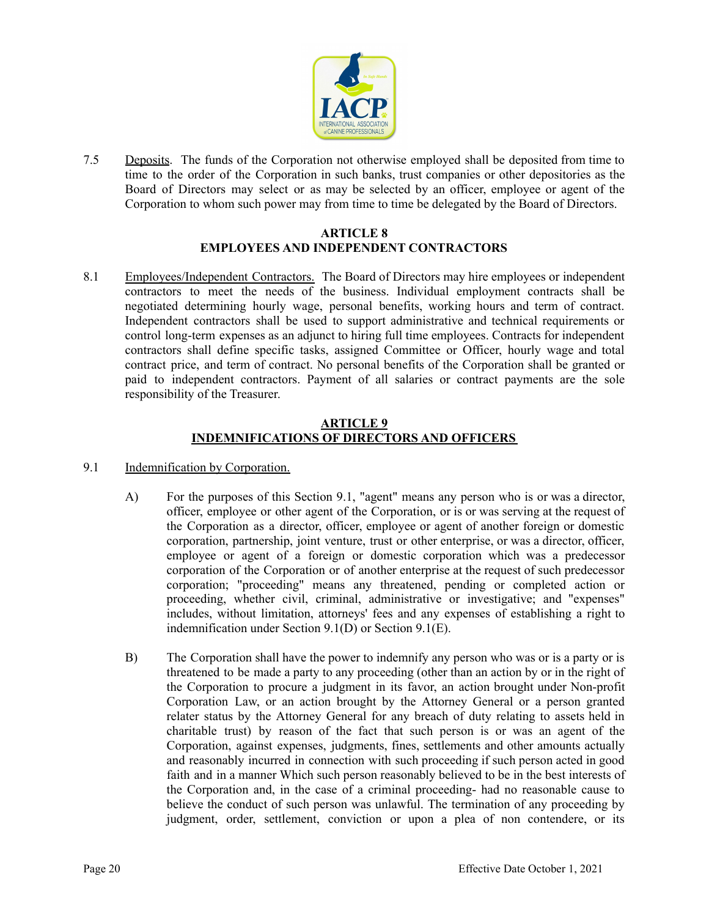

7.5 Deposits. The funds of the Corporation not otherwise employed shall be deposited from time to time to the order of the Corporation in such banks, trust companies or other depositories as the Board of Directors may select or as may be selected by an officer, employee or agent of the Corporation to whom such power may from time to time be delegated by the Board of Directors.

#### **ARTICLE 8 EMPLOYEES AND INDEPENDENT CONTRACTORS**

8.1 Employees/Independent Contractors. The Board of Directors may hire employees or independent contractors to meet the needs of the business. Individual employment contracts shall be negotiated determining hourly wage, personal benefits, working hours and term of contract. Independent contractors shall be used to support administrative and technical requirements or control long-term expenses as an adjunct to hiring full time employees. Contracts for independent contractors shall define specific tasks, assigned Committee or Officer, hourly wage and total contract price, and term of contract. No personal benefits of the Corporation shall be granted or paid to independent contractors. Payment of all salaries or contract payments are the sole responsibility of the Treasurer.

#### **ARTICLE 9 INDEMNIFICATIONS OF DIRECTORS AND OFFICERS**

- 9.1 Indemnification by Corporation.
	- A) For the purposes of this Section 9.1, "agent" means any person who is or was a director, officer, employee or other agent of the Corporation, or is or was serving at the request of the Corporation as a director, officer, employee or agent of another foreign or domestic corporation, partnership, joint venture, trust or other enterprise, or was a director, officer, employee or agent of a foreign or domestic corporation which was a predecessor corporation of the Corporation or of another enterprise at the request of such predecessor corporation; "proceeding" means any threatened, pending or completed action or proceeding, whether civil, criminal, administrative or investigative; and "expenses" includes, without limitation, attorneys' fees and any expenses of establishing a right to indemnification under Section 9.1(D) or Section 9.1(E).
	- B) The Corporation shall have the power to indemnify any person who was or is a party or is threatened to be made a party to any proceeding (other than an action by or in the right of the Corporation to procure a judgment in its favor, an action brought under Non-profit Corporation Law, or an action brought by the Attorney General or a person granted relater status by the Attorney General for any breach of duty relating to assets held in charitable trust) by reason of the fact that such person is or was an agent of the Corporation, against expenses, judgments, fines, settlements and other amounts actually and reasonably incurred in connection with such proceeding if such person acted in good faith and in a manner Which such person reasonably believed to be in the best interests of the Corporation and, in the case of a criminal proceeding- had no reasonable cause to believe the conduct of such person was unlawful. The termination of any proceeding by judgment, order, settlement, conviction or upon a plea of non contendere, or its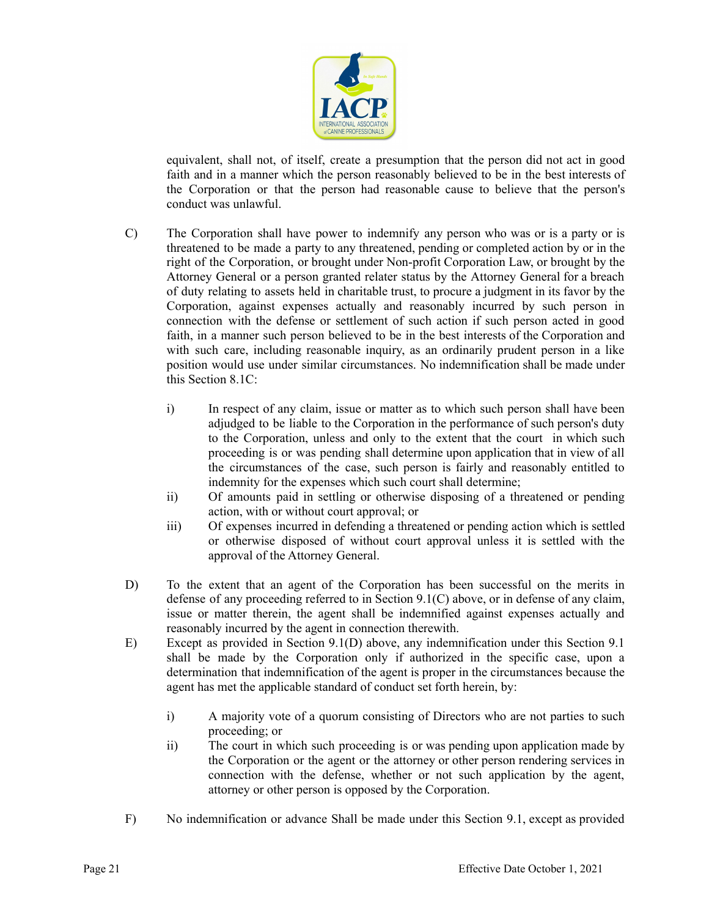

equivalent, shall not, of itself, create a presumption that the person did not act in good faith and in a manner which the person reasonably believed to be in the best interests of the Corporation or that the person had reasonable cause to believe that the person's conduct was unlawful.

- C) The Corporation shall have power to indemnify any person who was or is a party or is threatened to be made a party to any threatened, pending or completed action by or in the right of the Corporation, or brought under Non-profit Corporation Law, or brought by the Attorney General or a person granted relater status by the Attorney General for a breach of duty relating to assets held in charitable trust, to procure a judgment in its favor by the Corporation, against expenses actually and reasonably incurred by such person in connection with the defense or settlement of such action if such person acted in good faith, in a manner such person believed to be in the best interests of the Corporation and with such care, including reasonable inquiry, as an ordinarily prudent person in a like position would use under similar circumstances. No indemnification shall be made under this Section 8.1C:
	- i) In respect of any claim, issue or matter as to which such person shall have been adjudged to be liable to the Corporation in the performance of such person's duty to the Corporation, unless and only to the extent that the court in which such proceeding is or was pending shall determine upon application that in view of all the circumstances of the case, such person is fairly and reasonably entitled to indemnity for the expenses which such court shall determine;
	- ii) Of amounts paid in settling or otherwise disposing of a threatened or pending action, with or without court approval; or
	- iii) Of expenses incurred in defending a threatened or pending action which is settled or otherwise disposed of without court approval unless it is settled with the approval of the Attorney General.
- D) To the extent that an agent of the Corporation has been successful on the merits in defense of any proceeding referred to in Section 9.1(C) above, or in defense of any claim, issue or matter therein, the agent shall be indemnified against expenses actually and reasonably incurred by the agent in connection therewith.
- E) Except as provided in Section 9.1(D) above, any indemnification under this Section 9.1 shall be made by the Corporation only if authorized in the specific case, upon a determination that indemnification of the agent is proper in the circumstances because the agent has met the applicable standard of conduct set forth herein, by:
	- i) A majority vote of a quorum consisting of Directors who are not parties to such proceeding; or
	- ii) The court in which such proceeding is or was pending upon application made by the Corporation or the agent or the attorney or other person rendering services in connection with the defense, whether or not such application by the agent, attorney or other person is opposed by the Corporation.
- F) No indemnification or advance Shall be made under this Section 9.1, except as provided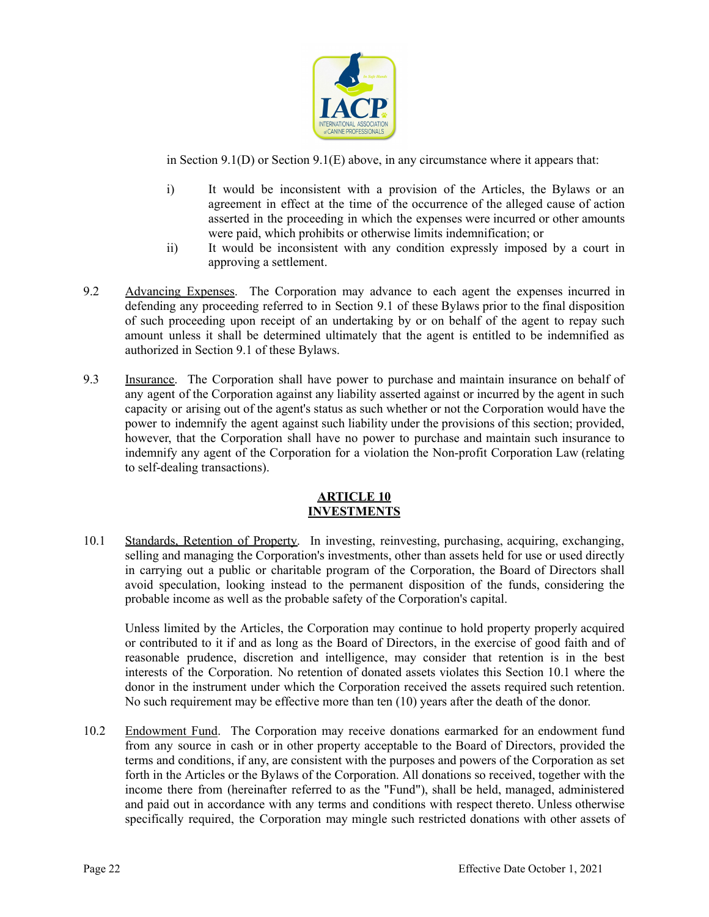

in Section 9.1(D) or Section 9.1(E) above, in any circumstance where it appears that:

- i) It would be inconsistent with a provision of the Articles, the Bylaws or an agreement in effect at the time of the occurrence of the alleged cause of action asserted in the proceeding in which the expenses were incurred or other amounts were paid, which prohibits or otherwise limits indemnification; or
- ii) It would be inconsistent with any condition expressly imposed by a court in approving a settlement.
- 9.2 Advancing Expenses. The Corporation may advance to each agent the expenses incurred in defending any proceeding referred to in Section 9.1 of these Bylaws prior to the final disposition of such proceeding upon receipt of an undertaking by or on behalf of the agent to repay such amount unless it shall be determined ultimately that the agent is entitled to be indemnified as authorized in Section 9.1 of these Bylaws.
- 9.3 Insurance. The Corporation shall have power to purchase and maintain insurance on behalf of any agent of the Corporation against any liability asserted against or incurred by the agent in such capacity or arising out of the agent's status as such whether or not the Corporation would have the power to indemnify the agent against such liability under the provisions of this section; provided, however, that the Corporation shall have no power to purchase and maintain such insurance to indemnify any agent of the Corporation for a violation the Non-profit Corporation Law (relating to self-dealing transactions).

#### **ARTICLE 10 INVESTMENTS**

10.1 Standards, Retention of Property. In investing, reinvesting, purchasing, acquiring, exchanging, selling and managing the Corporation's investments, other than assets held for use or used directly in carrying out a public or charitable program of the Corporation, the Board of Directors shall avoid speculation, looking instead to the permanent disposition of the funds, considering the probable income as well as the probable safety of the Corporation's capital.

Unless limited by the Articles, the Corporation may continue to hold property properly acquired or contributed to it if and as long as the Board of Directors, in the exercise of good faith and of reasonable prudence, discretion and intelligence, may consider that retention is in the best interests of the Corporation. No retention of donated assets violates this Section 10.1 where the donor in the instrument under which the Corporation received the assets required such retention. No such requirement may be effective more than ten (10) years after the death of the donor.

10.2 Endowment Fund. The Corporation may receive donations earmarked for an endowment fund from any source in cash or in other property acceptable to the Board of Directors, provided the terms and conditions, if any, are consistent with the purposes and powers of the Corporation as set forth in the Articles or the Bylaws of the Corporation. All donations so received, together with the income there from (hereinafter referred to as the "Fund"), shall be held, managed, administered and paid out in accordance with any terms and conditions with respect thereto. Unless otherwise specifically required, the Corporation may mingle such restricted donations with other assets of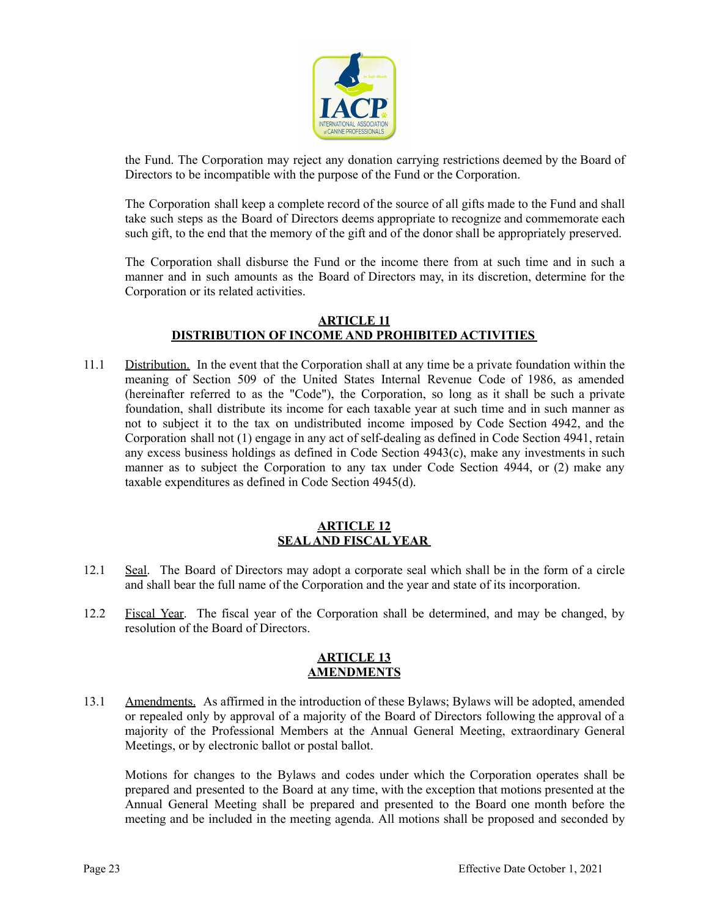

the Fund. The Corporation may reject any donation carrying restrictions deemed by the Board of Directors to be incompatible with the purpose of the Fund or the Corporation.

The Corporation shall keep a complete record of the source of all gifts made to the Fund and shall take such steps as the Board of Directors deems appropriate to recognize and commemorate each such gift, to the end that the memory of the gift and of the donor shall be appropriately preserved.

The Corporation shall disburse the Fund or the income there from at such time and in such a manner and in such amounts as the Board of Directors may, in its discretion, determine for the Corporation or its related activities.

#### **ARTICLE 11 DISTRIBUTION OF INCOME AND PROHIBITED ACTIVITIES**

11.1 Distribution. In the event that the Corporation shall at any time be a private foundation within the meaning of Section 509 of the United States Internal Revenue Code of 1986, as amended (hereinafter referred to as the "Code"), the Corporation, so long as it shall be such a private foundation, shall distribute its income for each taxable year at such time and in such manner as not to subject it to the tax on undistributed income imposed by Code Section 4942, and the Corporation shall not (1) engage in any act of self-dealing as defined in Code Section 4941, retain any excess business holdings as defined in Code Section 4943(c), make any investments in such manner as to subject the Corporation to any tax under Code Section 4944, or (2) make any taxable expenditures as defined in Code Section 4945(d).

#### **ARTICLE 12 SEALAND FISCAL YEAR**

- 12.1 Seal. The Board of Directors may adopt a corporate seal which shall be in the form of a circle and shall bear the full name of the Corporation and the year and state of its incorporation.
- 12.2 Fiscal Year. The fiscal year of the Corporation shall be determined, and may be changed, by resolution of the Board of Directors.

#### **ARTICLE 13 AMENDMENTS**

13.1 Amendments. As affirmed in the introduction of these Bylaws; Bylaws will be adopted, amended or repealed only by approval of a majority of the Board of Directors following the approval of a majority of the Professional Members at the Annual General Meeting, extraordinary General Meetings, or by electronic ballot or postal ballot.

Motions for changes to the Bylaws and codes under which the Corporation operates shall be prepared and presented to the Board at any time, with the exception that motions presented at the Annual General Meeting shall be prepared and presented to the Board one month before the meeting and be included in the meeting agenda. All motions shall be proposed and seconded by